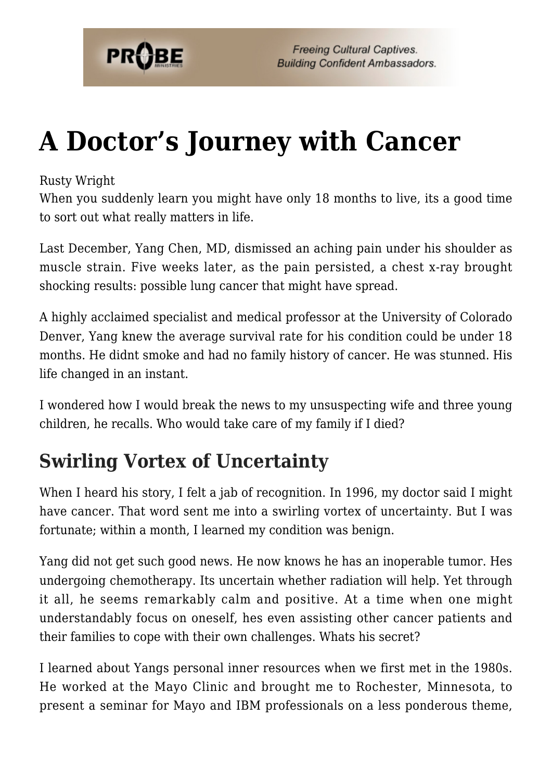

## **[A Doctor's Journey with Cancer](https://probe.org/a-doctors-journey-with-cancer/)**

Rusty Wright

When you suddenly learn you might have only 18 months to live, its a good time to sort out what really matters in life.

Last December, Yang Chen, MD, dismissed an aching pain under his shoulder as muscle strain. Five weeks later, as the pain persisted, a chest x-ray brought shocking results: possible lung cancer that might have spread.

A highly acclaimed specialist and medical professor at the University of Colorado Denver, Yang knew the average survival rate for his condition could be under 18 months. He didnt smoke and had no family history of cancer. He was stunned. His life changed in an instant.

I wondered how I would break the news to my unsuspecting wife and three young children, he recalls. Who would take care of my family if I died?

## **Swirling Vortex of Uncertainty**

When I heard his story, I felt a jab of recognition. In 1996, my doctor said I might have cancer. That word sent me into a swirling vortex of uncertainty. But I was fortunate; within a month, I learned my condition was benign.

Yang did not get such good news. He now knows he has an inoperable tumor. Hes undergoing chemotherapy. Its uncertain whether radiation will help. Yet through it all, he seems remarkably calm and positive. At a time when one might understandably focus on oneself, hes even assisting other cancer patients and their families to cope with their own challenges. Whats his secret?

I learned about Yangs personal inner resources when we first met in the 1980s. He worked at the Mayo Clinic and brought me to Rochester, Minnesota, to present a seminar for Mayo and IBM professionals on a less ponderous theme,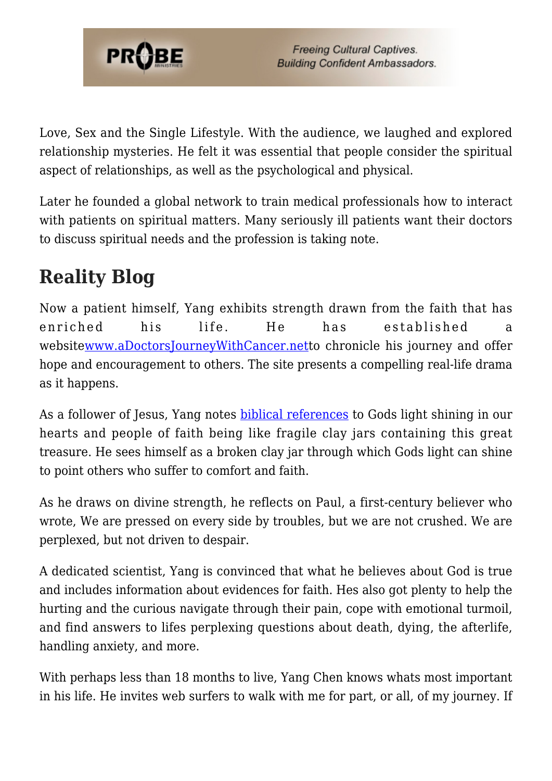

Love, Sex and the Single Lifestyle. With the audience, we laughed and explored relationship mysteries. He felt it was essential that people consider the spiritual aspect of relationships, as well as the psychological and physical.

Later he founded a global network to train medical professionals how to interact with patients on spiritual matters. Many seriously ill patients want their doctors to discuss spiritual needs and the profession is taking note.

## **Reality Blog**

Now a patient himself, Yang exhibits strength drawn from the faith that has enriched his life. He has established a websit[ewww.aDoctorsJourneyWithCancer.nett](http://www.adoctorsjourneywithcancer.net/)o chronicle his journey and offer hope and encouragement to others. The site presents a compelling real-life drama as it happens.

As a follower of Jesus, Yang notes [biblical references](http://www.biblegateway.com/passage/?search=2%20Corinthians%204:6-8;&version=51;) to Gods light shining in our hearts and people of faith being like fragile clay jars containing this great treasure. He sees himself as a broken clay jar through which Gods light can shine to point others who suffer to comfort and faith.

As he draws on divine strength, he reflects on Paul, a first-century believer who wrote, We are pressed on every side by troubles, but we are not crushed. We are perplexed, but not driven to despair.

A dedicated scientist, Yang is convinced that what he believes about God is true and includes information about evidences for faith. Hes also got plenty to help the hurting and the curious navigate through their pain, cope with emotional turmoil, and find answers to lifes perplexing questions about death, dying, the afterlife, handling anxiety, and more.

With perhaps less than 18 months to live, Yang Chen knows whats most important in his life. He invites web surfers to walk with me for part, or all, of my journey. If